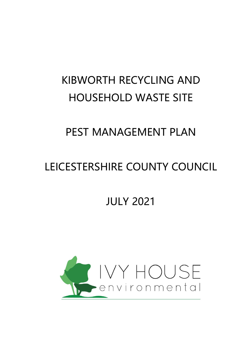# KIBWORTH RECYCLING AND HOUSEHOLD WASTE SITE

# PEST MANAGEMENT PLAN

# LEICESTERSHIRE COUNTY COUNCIL

# JULY 2021

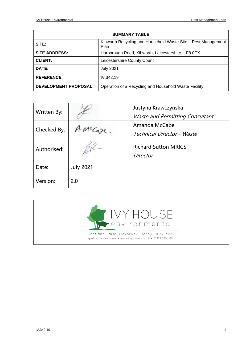| <b>SUMMARY TABLE</b>         |                                                                              |  |  |
|------------------------------|------------------------------------------------------------------------------|--|--|
| SITE:                        | Kibworth Recycling and Household Waste Site – Pest Management<br><b>Plan</b> |  |  |
| <b>SITE ADDRESS:</b>         | Harborough Road, Kibworth, Leicestershire, LE8 0EX                           |  |  |
| <b>CLIENT:</b>               | Leicestershire County Council                                                |  |  |
| DATE:                        | <b>July 2021</b>                                                             |  |  |
| <b>REFERENCE</b>             | IV.342.19                                                                    |  |  |
| <b>DEVELOPMENT PROPOSAL:</b> | Operation of a Recycling and Household Waste Facility                        |  |  |

| Written By: |                  | Justyna Krawczynska                     |
|-------------|------------------|-----------------------------------------|
|             |                  | <b>Waste and Permitting Consultant</b>  |
| Checked By: | . McCoze.        | Amanda McCabe                           |
|             |                  | Technical Director - Waste              |
| Authorised: |                  | <b>Richard Sutton MRICS</b><br>Director |
| Date:       | <b>July 2021</b> |                                         |
| Version:    | 2.0              |                                         |

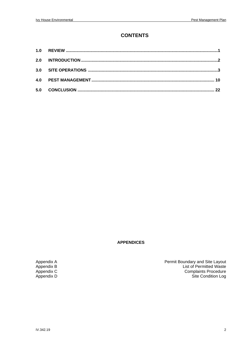## **CONTENTS**

| 2.0 |  |
|-----|--|
|     |  |
|     |  |
| 5.0 |  |

## **APPENDICES**

Appendix A Permit Boundary and Site Layout Appendix B List of Permitted Waste Complaints Procedure Site Condition Log

Appendix C Appendix D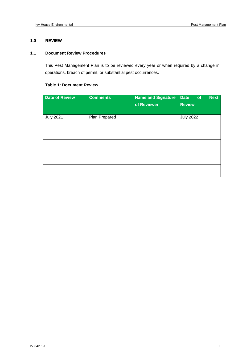### **1.0 REVIEW**

## **1.1 Document Review Procedures**

This Pest Management Plan is to be reviewed every year or when required by a change in operations, breach of permit, or substantial pest occurrences.

#### **Table 1: Document Review**

| <b>Date of Review</b> | <b>Comments</b> | <b>Name and Signature</b><br>of Reviewer | <b>Next</b><br>Date<br>of<br><b>Review</b> |
|-----------------------|-----------------|------------------------------------------|--------------------------------------------|
| <b>July 2021</b>      | Plan Prepared   |                                          | <b>July 2022</b>                           |
|                       |                 |                                          |                                            |
|                       |                 |                                          |                                            |
|                       |                 |                                          |                                            |
|                       |                 |                                          |                                            |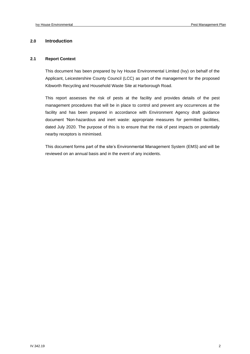## **2.0 Introduction**

### **2.1 Report Context**

This document has been prepared by Ivy House Environmental Limited (Ivy) on behalf of the Applicant, Leicestershire County Council (LCC) as part of the management for the proposed Kibworth Recycling and Household Waste Site at Harborough Road.

This report assesses the risk of pests at the facility and provides details of the pest management procedures that will be in place to control and prevent any occurrences at the facility and has been prepared in accordance with Environment Agency draft guidance document 'Non-hazardous and inert waste: appropriate measures for permitted facilities, dated July 2020. The purpose of this is to ensure that the risk of pest impacts on potentially nearby receptors is minimised.

This document forms part of the site's Environmental Management System (EMS) and will be reviewed on an annual basis and in the event of any incidents.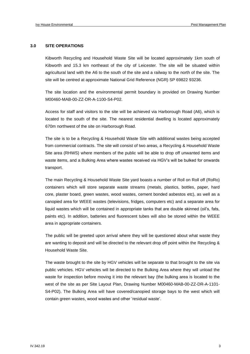#### **3.0 SITE OPERATIONS**

Kibworth Recycling and Household Waste Site will be located approximately 1km south of Kibworth and 15.3 km northeast of the city of Leicester. The site will be situated within agricultural land with the A6 to the south of the site and a railway to the north of the site. The site will be centred at approximate National Grid Reference (NGR) SP 69822 93236.

The site location and the environmental permit boundary is provided on Drawing Number M00460-MAB-00-ZZ-DR-A-1100-S4-P02.

Access for staff and visitors to the site will be achieved via Harborough Road (A6), which is located to the south of the site. The nearest residential dwelling is located approximately 670m northwest of the site on Harborough Road.

The site is to be a Recycling & Household Waste Site with additional wastes being accepted from commercial contracts. The site will consist of two areas, a Recycling & Household Waste Site area (RHWS) where members of the public will be able to drop off unwanted items and waste items, and a Bulking Area where wastes received via HGV's will be bulked for onwards transport.

The main Recycling & Household Waste Site yard boasts a number of Roll on Roll off (RoRo) containers which will store separate waste streams (metals, plastics, bottles, paper, hard core, plaster board, green wastes, wood wastes, cement bonded asbestos etc), as well as a canopied area for WEEE wastes (televisions, fridges, computers etc) and a separate area for liquid wastes which will be contained in appropriate tanks that are double skinned (oil's, fats, paints etc). In addition, batteries and fluorescent tubes will also be stored within the WEEE area in appropriate containers.

The public will be greeted upon arrival where they will be questioned about what waste they are wanting to deposit and will be directed to the relevant drop off point within the Recycling & Household Waste Site.

The waste brought to the site by HGV vehicles will be separate to that brought to the site via public vehicles. HGV vehicles will be directed to the Bulking Area where they will unload the waste for inspection before moving it into the relevant bay (the bulking area is located to the west of the site as per Site Layout Plan, Drawing Number M00460-MAB-00-ZZ-DR-A-1101- S4-P02). The Bulking Area will have covered/canopied storage bays to the west which will contain green wastes, wood wastes and other 'residual waste'.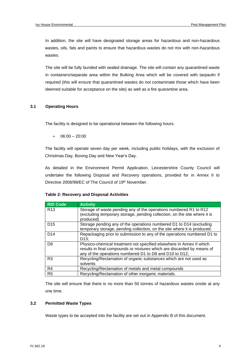In addition, the site will have designated storage areas for hazardous and non-hazardous wastes, oils, fats and paints to ensure that hazardous wastes do not mix with non-hazardous wastes.

The site will be fully bunded with sealed drainage. The site will contain any quarantined waste in containers/separate area within the Bulking Area which will be covered with tarpaulin if required (this will ensure that quarantined wastes do not contaminate those which have been deemed suitable for acceptance on the site) as well as a fire quarantine area.

#### **3.1 Operating Hours**

The facility is designed to be operational between the following hours:

 $06:00 - 20:00$ 

The facility will operate seven day per week, including public holidays, with the exclusion of Christmas Day, Boxing Day and New Year's Day.

As detailed in the Environment Permit Application, Leicestershire County Council will undertake the following Disposal and Recovery operations, provided for in Annex II to Directive 2008/98/EC of The Council of 19th November.

#### **Table 2: Recovery and Disposal Activities**

| <b>R/D Code</b> | <b>Activity</b>                                                                                                                                                                                           |
|-----------------|-----------------------------------------------------------------------------------------------------------------------------------------------------------------------------------------------------------|
| R <sub>13</sub> | Storage of waste pending any of the operations numbered R1 to R12<br>(excluding temporary storage, pending collection, on the site where it is<br>produced)                                               |
| D <sub>15</sub> | Storage pending any of the operations numbered D1 to D14 (excluding<br>temporary storage, pending collection, on the site where it is produced;                                                           |
| D <sub>14</sub> | Repackaging prior to submission to any of the operations numbered D1 to<br>D <sub>13</sub> :                                                                                                              |
| D <sub>9</sub>  | Physico-chemical treatment not specified elsewhere in Annex II which<br>results in final compounds or mixtures which are discarded by means of<br>any of the operations numbered D1 to D8 and D10 to D12; |
| R <sub>3</sub>  | Recycling/Reclamation of organic substances which are not used as<br>solvents                                                                                                                             |
| R4              | Recycling/Reclamation of metals and metal compounds                                                                                                                                                       |
| R <sub>5</sub>  | Recycling/Reclamation of other inorganic materials.                                                                                                                                                       |

The site will ensure that there is no more than 50 tonnes of hazardous wastes onsite at any one time.

#### **3.2 Permitted Waste Types**

Waste types to be accepted into the facility are set out in Appendix B of this document.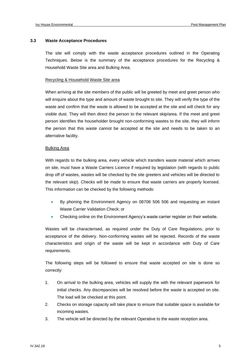#### **3.3 Waste Acceptance Procedures**

The site will comply with the waste acceptance procedures outlined in the Operating Techniques. Below is the summary of the acceptance procedures for the Recycling & Household Waste Site area and Bulking Area.

#### Recycling & Household Waste Site area

When arriving at the site members of the public will be greeted by meet and greet person who will enquire about the type and amount of waste brought to site. They will verify the type of the waste and confirm that the waste is allowed to be accepted at the site and will check for any visible dust. They will then direct the person to the relevant skip/area. If the meet and greet person identifies the householder brought non-conforming wastes to the site, they will inform the person that this waste cannot be accepted at the site and needs to be taken to an alternative facility.

#### Bulking Area

With regards to the bulking area, every vehicle which transfers waste material which arrives on site, must have a Waste Carriers Licence if required by legislation (with regards to public drop off of wastes, wastes will be checked by the site greeters and vehicles will be directed to the relevant skip). Checks will be made to ensure that waste carriers are properly licensed. This information can be checked by the following methods:

- By phoning the Environment Agency on 08708 506 506 and requesting an instant Waste Carrier Validation Check; or
- Checking online on the Environment Agency's waste carrier register on their website.

Wastes will be characterised, as required under the Duty of Care Regulations, prior to acceptance of the delivery. Non-conforming wastes will be rejected. Records of the waste characteristics and origin of the waste will be kept in accordance with Duty of Care requirements.

The following steps will be followed to ensure that waste accepted on site is done so correctly:

- 1. On arrival to the bulking area, vehicles will supply the with the relevant paperwork for initial checks. Any discrepancies will be resolved before the waste is accepted on site. The load will be checked at this point.
- 2. Checks on storage capacity will take place to ensure that suitable space is available for incoming wastes.
- 3. The vehicle will be directed by the relevant Operative to the waste reception area.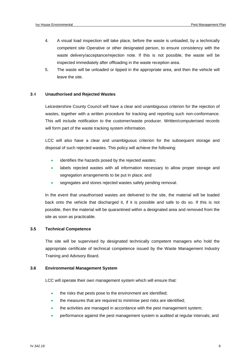- 4. A visual load inspection will take place, before the waste is unloaded, by a technically competent site Operative or other designated person, to ensure consistency with the waste delivery/acceptance/rejection note. If this is not possible, the waste will be inspected immediately after offloading in the waste reception area.
- 5. The waste will be unloaded or tipped in the appropriate area, and then the vehicle will leave the site.

#### **3**.4 **Unauthorised and Rejected Wastes**

Leicestershire County Council will have a clear and unambiguous criterion for the rejection of wastes, together with a written procedure for tracking and reporting such non-conformance. This will include notification to the customer/waste producer. Written/computerised records will form part of the waste tracking system information.

LCC will also have a clear and unambiguous criterion for the subsequent storage and disposal of such rejected wastes. This policy will achieve the following:

- identifies the hazards posed by the rejected wastes;
- labels rejected wastes with all information necessary to allow proper storage and segregation arrangements to be put in place; and
- segregates and stores rejected wastes safely pending removal.

In the event that unauthorised wastes are delivered to the site, the material will be loaded back onto the vehicle that discharged it, if it is possible and safe to do so. If this is not possible, then the material will be quarantined within a designated area and removed from the site as soon as practicable.

#### **3.5 Technical Competence**

The site will be supervised by designated technically competent managers who hold the appropriate certificate of technical competence issued by the Waste Management Industry Training and Advisory Board.

#### **3.6 Environmental Management System**

LCC will operate their own management system which will ensure that:

- the risks that pests pose to the environment are identified:
- the measures that are required to minimise pest risks are identified;
- the activities are managed in accordance with the pest management system;
- performance against the pest management system is audited at regular intervals; and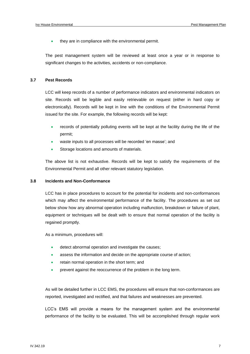• they are in compliance with the environmental permit.

The pest management system will be reviewed at least once a year or in response to significant changes to the activities, accidents or non-compliance.

#### **3.7 Pest Records**

LCC will keep records of a number of performance indicators and environmental indicators on site. Records will be legible and easily retrievable on request (either in hard copy or electronically). Records will be kept in line with the conditions of the Environmental Permit issued for the site. For example, the following records will be kept:

- records of potentially polluting events will be kept at the facility during the life of the permit;
- waste inputs to all processes will be recorded 'en masse'; and
- Storage locations and amounts of materials.

The above list is not exhaustive. Records will be kept to satisfy the requirements of the Environmental Permit and all other relevant statutory legislation.

#### **3.8 Incidents and Non-Conformance**

LCC has in place procedures to account for the potential for incidents and non-conformances which may affect the environmental performance of the facility. The procedures as set out below show how any abnormal operation including malfunction, breakdown or failure of plant, equipment or techniques will be dealt with to ensure that normal operation of the facility is regained promptly.

As a minimum, procedures will:

- detect abnormal operation and investigate the causes;
- assess the information and decide on the appropriate course of action;
- retain normal operation in the short term; and
- prevent against the reoccurrence of the problem in the long term.

As will be detailed further in LCC EMS, the procedures will ensure that non-conformances are reported, investigated and rectified, and that failures and weaknesses are prevented.

LCC's EMS will provide a means for the management system and the environmental performance of the facility to be evaluated. This will be accomplished through regular work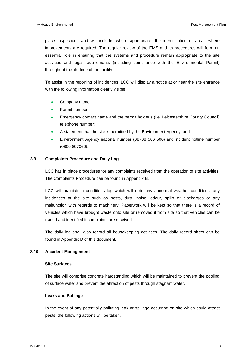place inspections and will include, where appropriate, the identification of areas where improvements are required. The regular review of the EMS and its procedures will form an essential role in ensuring that the systems and procedure remain appropriate to the site activities and legal requirements (including compliance with the Environmental Permit) throughout the life time of the facility.

To assist in the reporting of incidences, LCC will display a notice at or near the site entrance with the following information clearly visible:

- Company name;
- Permit number;
- Emergency contact name and the permit holder's (i.e. Leicestershire County Council) telephone number;
- A statement that the site is permitted by the Environment Agency; and
- Environment Agency national number (08708 506 506) and incident hotline number (0800 807060).

#### **3.9 Complaints Procedure and Daily Log**

LCC has in place procedures for any complaints received from the operation of site activities. The Complaints Procedure can be found in Appendix B.

LCC will maintain a conditions log which will note any abnormal weather conditions, any incidences at the site such as pests, dust, noise, odour, spills or discharges or any malfunction with regards to machinery. Paperwork will be kept so that there is a record of vehicles which have brought waste onto site or removed it from site so that vehicles can be traced and identified if complaints are received.

The daily log shall also record all housekeeping activities. The daily record sheet can be found in Appendix D of this document.

#### **3.10 Accident Management**

#### **Site Surfaces**

The site will comprise concrete hardstanding which will be maintained to prevent the pooling of surface water and prevent the attraction of pests through stagnant water.

#### **Leaks and Spillage**

In the event of any potentially polluting leak or spillage occurring on site which could attract pests, the following actions will be taken.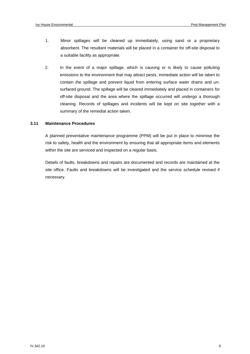- 1. Minor spillages will be cleaned up immediately, using sand or a proprietary absorbent. The resultant materials will be placed in a container for off-site disposal to a suitable facility as appropriate.
- 2. In the event of a major spillage, which is causing or is likely to cause polluting emissions to the environment that may attract pests, immediate action will be taken to contain the spillage and prevent liquid from entering surface water drains and unsurfaced ground. The spillage will be cleared immediately and placed in containers for off-site disposal and the area where the spillage occurred will undergo a thorough cleaning. Records of spillages and incidents will be kept on site together with a summary of the remedial action taken.

#### **3.11 Maintenance Procedures**

A planned preventative maintenance programme (PPM) will be put in place to minimise the risk to safety, health and the environment by ensuring that all appropriate items and elements within the site are serviced and inspected on a regular basis.

Details of faults, breakdowns and repairs are documented and records are maintained at the site office. Faults and breakdowns will be investigated and the service schedule revised if necessary.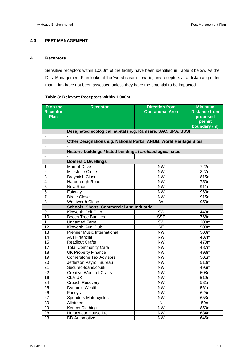## **4.0 PEST MANAGEMENT**

### **4.1 Receptors**

Sensitive receptors within 1,000m of the facility have been identified in Table 3 below. As the Dust Management Plan looks at the 'worst case' scenario, any receptors at a distance greater than 1 km have not been assessed unless they have the potential to be impacted.

#### **Table 3: Relevant Receptors within 1,000m**

| <b>ID on the</b>             | <b>Receptor</b>                                                    | <b>Direction from</b>   | <b>Minimum</b>       |
|------------------------------|--------------------------------------------------------------------|-------------------------|----------------------|
| <b>Receptor</b>              |                                                                    | <b>Operational Area</b> | <b>Distance from</b> |
| Plan                         |                                                                    |                         | proposed             |
|                              |                                                                    |                         | permit               |
|                              |                                                                    |                         | boundary (m)         |
|                              | Designated ecological habitats e.g. Ramsars, SAC, SPA, SSSI        |                         |                      |
| ٠                            |                                                                    |                         |                      |
|                              | Other Designations e.g. National Parks, ANOB, World Heritage Sites |                         |                      |
|                              |                                                                    |                         |                      |
|                              | Historic buildings / listed buildings / archaeological sites       |                         |                      |
| $\qquad \qquad \blacksquare$ |                                                                    |                         |                      |
|                              | <b>Domestic Dwellings</b>                                          |                         |                      |
| 1                            | <b>Marriot Drive</b>                                               | $\overline{\text{NW}}$  | 722m                 |
| $\overline{2}$               | Milestone Close                                                    | $\overline{\text{NW}}$  | 827m                 |
| 3                            | <b>Braymish Close</b>                                              | $\overline{\text{NW}}$  | 815m                 |
| $\overline{4}$               | Harborough Road                                                    | $\overline{\text{NW}}$  | 750m                 |
| $\overline{5}$               | New Road                                                           | $\overline{\text{NW}}$  | 911m                 |
| 6                            | Fairway                                                            | $\overline{\text{NW}}$  | 960m                 |
| 7                            | <b>Birdie Close</b>                                                | <b>NW</b>               | 915m                 |
| $\overline{8}$               | <b>Wentworth Close</b>                                             | $\overline{W}$          | 950m                 |
|                              | <b>Schools, Shops, Commercial and Industrial</b>                   |                         |                      |
| 9                            | Kibworth Golf Club                                                 | <b>SW</b>               | 443m                 |
| 10                           | <b>Beech Tree Bunnies</b>                                          | <b>SSE</b>              | 768m                 |
| $\overline{11}$              | <b>Unnamed Farm</b>                                                | <b>SW</b>               | 300m                 |
| $\overline{12}$              | Kibworth Gun Club                                                  | $\overline{\text{SE}}$  | 500m                 |
| 13                           | <b>Premier Music International</b>                                 | <b>NW</b>               | 500m                 |
| $\overline{14}$              | <b>ACI Financial</b>                                               | $\overline{\text{NW}}$  | 487m                 |
| 15                           | <b>Readicut Crafts</b>                                             | NW                      | 470m                 |
| 17                           | <b>Total Community Care</b>                                        | NW                      | 487m                 |
| 18                           | <b>UK Property Finance</b>                                         | <b>NW</b>               | 493m                 |
| $\overline{19}$              | <b>Cornerstone Tax Advisors</b>                                    | NW                      | $\overline{50}$ 1m   |
| 20                           | Jefferson Payroll Bureau                                           | $\overline{\text{NW}}$  | 510m                 |
| 21                           | Secured-Ioans.co.uk                                                | $\overline{\text{NW}}$  | 496m                 |
| 22                           | <b>Creative World of Crafts</b>                                    | $\overline{\text{NW}}$  | 508m                 |
| 16                           | <b>CLA UK</b>                                                      | <b>NW</b>               | 519m                 |
| 24                           | Crouch Recovery                                                    | <b>NW</b>               | 531m                 |
| 25                           | Dynamic Wealth                                                     | <b>NW</b>               | 561m                 |
| 26                           | Farleys                                                            | <b>NW</b>               | 625m                 |
| 27                           | Spenders Motorcycles                                               | <b>NW</b>               | 653m                 |
| $\overline{30}$              | Allotments                                                         | $\overline{\mathsf{N}}$ | 50 <sub>m</sub>      |
| 29                           | Kemps Clothing                                                     | <b>NW</b>               | 850m                 |
| 28                           | Horsewear House Ltd                                                | <b>NW</b>               | 684m                 |
| 23                           | <b>DD</b> Automotive                                               | <b>NW</b>               | 646m                 |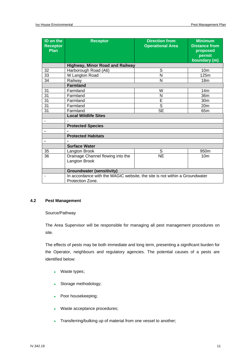| <b>ID on the</b><br><b>Receptor</b><br><b>Plan</b> | <b>Receptor</b>                                                                                | <b>Direction from</b><br><b>Operational Area</b> | <b>Minimum</b><br><b>Distance from</b><br>proposed<br>permit<br>boundary (m) |
|----------------------------------------------------|------------------------------------------------------------------------------------------------|--------------------------------------------------|------------------------------------------------------------------------------|
|                                                    | <b>Highway, Minor Road and Railway</b>                                                         |                                                  |                                                                              |
| 32                                                 | Harborough Road (A6)                                                                           | S                                                | 10 <sub>m</sub>                                                              |
| 33                                                 | W Langton Road                                                                                 | N                                                | 125m                                                                         |
| 34                                                 | Railway                                                                                        | N                                                | 18 <sub>m</sub>                                                              |
|                                                    | <b>Farmland</b>                                                                                |                                                  |                                                                              |
| 31                                                 | Farmland                                                                                       | W                                                | 14 <sub>m</sub>                                                              |
| 31                                                 | Farmland                                                                                       | N                                                | 36m                                                                          |
| 31                                                 | Farmland                                                                                       | E                                                | 30m                                                                          |
| 31                                                 | Farmland                                                                                       | $\overline{s}$                                   | 20 <sub>m</sub>                                                              |
| 31                                                 | Farmland                                                                                       | <b>SE</b>                                        | 65m                                                                          |
|                                                    | <b>Local Wildlife Sites</b>                                                                    |                                                  |                                                                              |
|                                                    |                                                                                                |                                                  |                                                                              |
|                                                    | <b>Protected Species</b>                                                                       |                                                  |                                                                              |
|                                                    |                                                                                                |                                                  |                                                                              |
|                                                    | <b>Protected Habitats</b>                                                                      |                                                  |                                                                              |
|                                                    |                                                                                                |                                                  |                                                                              |
|                                                    | <b>Surface Water</b>                                                                           |                                                  |                                                                              |
| 35                                                 | Langton Brook                                                                                  | S                                                | 950m                                                                         |
| 36                                                 | Drainage Channel flowing into the<br>Langton Brook                                             | <b>NE</b>                                        | 10 <sub>m</sub>                                                              |
|                                                    | <b>Groundwater (sensitivity)</b>                                                               |                                                  |                                                                              |
|                                                    | In accordance with the MAGIC website, the site is not within a Groundwater<br>Protection Zone. |                                                  |                                                                              |

## **4.2 Pest Management**

Source/Pathway

The Area Supervisor will be responsible for managing all pest management procedures on site.

The effects of pests may be both immediate and long term, presenting a significant burden for the Operator, neighbours and regulatory agencies. The potential causes of a pests are identified below:

- Waste types;
- Storage methodology;
- Poor housekeeping;
- Waste acceptance procedures;
- Transferring/bulking up of material from one vessel to another;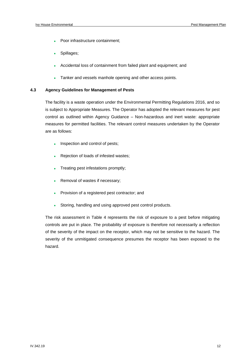- Poor infrastructure containment;
- Spillages;
- Accidental loss of containment from failed plant and equipment; and
- Tanker and vessels manhole opening and other access points.

#### **4.3 Agency Guidelines for Management of Pests**

The facility is a waste operation under the Environmental Permitting Regulations 2016, and so is subject to Appropriate Measures. The Operator has adopted the relevant measures for pest control as outlined within Agency Guidance – Non-hazardous and inert waste: appropriate measures for permitted facilities. The relevant control measures undertaken by the Operator are as follows:

- Inspection and control of pests;
- Rejection of loads of infested wastes;
- Treating pest infestations promptly;
- Removal of wastes if necessary;
- Provision of a registered pest contractor; and
- Storing, handling and using approved pest control products.

The risk assessment in Table 4 represents the risk of exposure to a pest before mitigating controls are put in place. The probability of exposure is therefore not necessarily a reflection of the severity of the impact on the receptor, which may not be sensitive to the hazard. The severity of the unmitigated consequence presumes the receptor has been exposed to the hazard.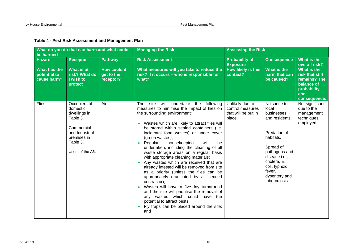### **Table 4 - Pest Risk Assessment and Management Plan**

| What do you do that can harm and what could<br>be harmed |                                                                                                                                     |                                                | <b>Managing the Risk</b><br><b>Assessing the Risk</b>                                                                                                                                                                                                                                                                                                                                                                                                                                                                                                                                                                                                                                                                                                                                                                                                                     |                                                                      |                                                                                                                                                                                                              |                                                                                                    |
|----------------------------------------------------------|-------------------------------------------------------------------------------------------------------------------------------------|------------------------------------------------|---------------------------------------------------------------------------------------------------------------------------------------------------------------------------------------------------------------------------------------------------------------------------------------------------------------------------------------------------------------------------------------------------------------------------------------------------------------------------------------------------------------------------------------------------------------------------------------------------------------------------------------------------------------------------------------------------------------------------------------------------------------------------------------------------------------------------------------------------------------------------|----------------------------------------------------------------------|--------------------------------------------------------------------------------------------------------------------------------------------------------------------------------------------------------------|----------------------------------------------------------------------------------------------------|
| <b>Hazard</b>                                            | <b>Receptor</b>                                                                                                                     | <b>Pathway</b>                                 | <b>Risk Assessment</b>                                                                                                                                                                                                                                                                                                                                                                                                                                                                                                                                                                                                                                                                                                                                                                                                                                                    | <b>Probability of</b><br><b>Exposure</b>                             | <b>Consequence</b>                                                                                                                                                                                           | What is the<br>overall risk?                                                                       |
| What has the<br>potential to<br>cause harm?              | What is at<br>risk? What do<br>I wish to<br>protect                                                                                 | <b>How could it</b><br>get to the<br>receptor? | What measures will you take to reduce the<br>risk? If it occurs - who is responsible for<br>what?                                                                                                                                                                                                                                                                                                                                                                                                                                                                                                                                                                                                                                                                                                                                                                         | How likely is this<br>contact?                                       | What is the<br>harm that can<br>be caused?                                                                                                                                                                   | What is the<br>risk that still<br>remains? The<br>balance of<br>probability<br>and<br>consequence. |
| <b>Flies</b>                                             | Occupiers of<br>domestic<br>dwellings in<br>Table 3.<br>Commercial<br>and Industrial<br>premises in<br>Table 3.<br>Users of the A6. | Air.                                           | will<br>undertake<br>the following<br>The site<br>measures to minimise the impact of flies on<br>the surrounding environment:<br>Wastes which are likely to attract flies will<br>be stored within sealed containers (i.e.<br>incidental food wastes) or under cover<br>(green wastes);<br>housekeeping<br>Regular<br>will<br>be<br>undertaken, including the cleaning of all<br>waste storage areas on a regular basis<br>with appropriate cleaning materials;<br>Any wastes which are received that are<br>already infested will be removed from site<br>as a priority (unless the flies can be<br>appropriately eradicated by a licenced<br>contractor);<br>Wastes will have a five-day turnaround<br>and the site will prioritise the removal of<br>any wastes which could have the<br>potential to attract pests;<br>Fly traps can be placed around the site;<br>and | Unlikely due to<br>control measures<br>that will be put in<br>place. | Nuisance to<br>local<br>businesses<br>and residents.<br>Predation of<br>habitats.<br>Spread of<br>pathogens and<br>disease i.e.,<br>cholera, E.<br>coli, typhoid<br>fever,<br>dysentery and<br>tuberculosis. | Not significant<br>due to the<br>management<br>techniques<br>employed.                             |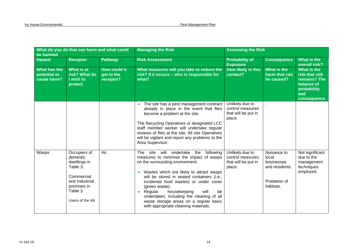| be harmed                                   | What do you do that can harm and what could                                                                                         |                                                | <b>Managing the Risk</b><br><b>Assessing the Risk</b>                                                                                                                                                                                                                                                                                                                                                                                                                                    |                                                                      |                                                                                   |                                                                                                    |  |
|---------------------------------------------|-------------------------------------------------------------------------------------------------------------------------------------|------------------------------------------------|------------------------------------------------------------------------------------------------------------------------------------------------------------------------------------------------------------------------------------------------------------------------------------------------------------------------------------------------------------------------------------------------------------------------------------------------------------------------------------------|----------------------------------------------------------------------|-----------------------------------------------------------------------------------|----------------------------------------------------------------------------------------------------|--|
| <b>Hazard</b>                               | <b>Receptor</b>                                                                                                                     | <b>Pathway</b>                                 | <b>Risk Assessment</b>                                                                                                                                                                                                                                                                                                                                                                                                                                                                   | <b>Probability of</b><br><b>Exposure</b>                             | <b>Consequence</b>                                                                | What is the<br>overall risk?                                                                       |  |
| What has the<br>potential to<br>cause harm? | What is at<br>risk? What do<br>I wish to<br>protect                                                                                 | <b>How could it</b><br>get to the<br>receptor? | What measures will you take to reduce the<br>risk? If it occurs - who is responsible for<br>what?                                                                                                                                                                                                                                                                                                                                                                                        | How likely is this<br>contact?                                       | What is the<br>harm that can<br>be caused?                                        | What is the<br>risk that still<br>remains? The<br>balance of<br>probability<br>and<br>consequence. |  |
|                                             |                                                                                                                                     |                                                | The site has a pest management contract<br>$\bullet$<br>already in place in the event that flies<br>become a problem at the site.<br>The Recycling Operatives or designated LCC<br>staff member worker will undertake regular<br>reviews of flies at the site. All site Operatives<br>will be vigilant and report any problems to the<br>Area Supervisor.                                                                                                                                | Unlikely due to<br>control measures<br>that will be put in<br>place. |                                                                                   |                                                                                                    |  |
| Wasps                                       | Occupiers of<br>domestic<br>dwellings in<br>Table 3.<br>Commercial<br>and Industrial<br>premises in<br>Table 3.<br>Users of the A6. | Air.                                           | site<br>will undertake<br>the<br>following<br>The<br>measures to minimise the impact of wasps<br>on the surrounding environment:<br>Wastes which are likely to attract wasps<br>$\bullet$<br>will be stored in sealed containers (i.e.,<br>incidental food wastes) or under cover<br>(green waste);<br>housekeeping<br>Regular<br>will<br>be<br>$\bullet$<br>undertaken, including the cleaning of all<br>waste storage areas on a regular basis<br>with appropriate cleaning materials; | Unlikely due to<br>control measures<br>that will be put in<br>place. | Nuisance to<br>local<br>businesses<br>and residents.<br>Predation of<br>habitats. | Not significant<br>due to the<br>management<br>techniques<br>employed.                             |  |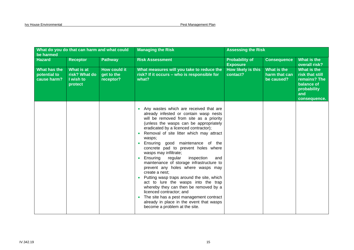| What do you do that can harm and what could<br>be harmed |                                                     |                                                | <b>Managing the Risk</b>                                                                                                                                                                                                                                                                                                                                                                                                                                                                                                                                                                                                                                                                                                                                                                                                                        | <b>Assessing the Risk</b>                |                                            |                                                                                                    |
|----------------------------------------------------------|-----------------------------------------------------|------------------------------------------------|-------------------------------------------------------------------------------------------------------------------------------------------------------------------------------------------------------------------------------------------------------------------------------------------------------------------------------------------------------------------------------------------------------------------------------------------------------------------------------------------------------------------------------------------------------------------------------------------------------------------------------------------------------------------------------------------------------------------------------------------------------------------------------------------------------------------------------------------------|------------------------------------------|--------------------------------------------|----------------------------------------------------------------------------------------------------|
| <b>Hazard</b>                                            | <b>Receptor</b>                                     | <b>Pathway</b>                                 | <b>Risk Assessment</b>                                                                                                                                                                                                                                                                                                                                                                                                                                                                                                                                                                                                                                                                                                                                                                                                                          | <b>Probability of</b><br><b>Exposure</b> | <b>Consequence</b>                         | What is the<br>overall risk?                                                                       |
| What has the<br>potential to<br>cause harm?              | What is at<br>risk? What do<br>I wish to<br>protect | <b>How could it</b><br>get to the<br>receptor? | What measures will you take to reduce the<br>risk? If it occurs - who is responsible for<br>what?                                                                                                                                                                                                                                                                                                                                                                                                                                                                                                                                                                                                                                                                                                                                               | How likely is this<br>contact?           | What is the<br>harm that can<br>be caused? | What is the<br>risk that still<br>remains? The<br>balance of<br>probability<br>and<br>consequence. |
|                                                          |                                                     |                                                | Any wastes which are received that are<br>already infested or contain wasp nests<br>will be removed from site as a priority<br>(unless the wasps can be appropriately<br>eradicated by a licenced contractor);<br>Removal of site litter which may attract<br>$\bullet$<br>wasps;<br>Ensuring good maintenance of the<br>concrete pad to prevent holes where<br>wasps may infiltrate;<br>Ensuring<br>regular<br>inspection<br>and<br>maintenance of storage infrastructure to<br>prevent any holes where wasps may<br>create a nest;<br>Putting wasp traps around the site, which<br>$\bullet$<br>act to lure the wasps into the trap<br>whereby they can then be removed by a<br>licenced contractor; and<br>The site has a pest management contract<br>$\bullet$<br>already in place in the event that wasps<br>become a problem at the site. |                                          |                                            |                                                                                                    |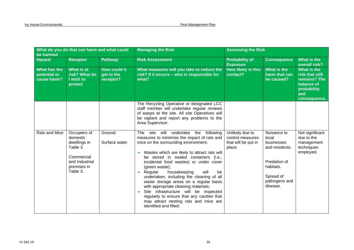| What do you do that can harm and what could<br>be harmed |                                                                                                                 |                                                | <b>Managing the Risk</b><br><b>Assessing the Risk</b>                                                                                                                                                                                                                                                                                                                                                                                                                                                                                                                                                                                                            |                                                                      |                                                                                                                             |                                                                                                    |
|----------------------------------------------------------|-----------------------------------------------------------------------------------------------------------------|------------------------------------------------|------------------------------------------------------------------------------------------------------------------------------------------------------------------------------------------------------------------------------------------------------------------------------------------------------------------------------------------------------------------------------------------------------------------------------------------------------------------------------------------------------------------------------------------------------------------------------------------------------------------------------------------------------------------|----------------------------------------------------------------------|-----------------------------------------------------------------------------------------------------------------------------|----------------------------------------------------------------------------------------------------|
| <b>Hazard</b>                                            | <b>Receptor</b>                                                                                                 | <b>Pathway</b>                                 | <b>Risk Assessment</b>                                                                                                                                                                                                                                                                                                                                                                                                                                                                                                                                                                                                                                           | <b>Probability of</b><br><b>Exposure</b>                             | <b>Consequence</b>                                                                                                          | What is the<br>overall risk?                                                                       |
| What has the<br>potential to<br>cause harm?              | What is at<br>risk? What do<br>I wish to<br>protect                                                             | <b>How could it</b><br>get to the<br>receptor? | What measures will you take to reduce the<br>risk? If it occurs - who is responsible for<br>what?                                                                                                                                                                                                                                                                                                                                                                                                                                                                                                                                                                | How likely is this<br>contact?                                       | What is the<br>harm that can<br>be caused?                                                                                  | What is the<br>risk that still<br>remains? The<br>balance of<br>probability<br>and<br>consequence. |
|                                                          |                                                                                                                 |                                                | The Recycling Operative or designated LCC<br>staff member will undertake regular reviews<br>of wasps at the site. All site Operatives will<br>be vigilant and report any problems to the<br>Area Supervisor.                                                                                                                                                                                                                                                                                                                                                                                                                                                     |                                                                      |                                                                                                                             |                                                                                                    |
| Rats and Mice                                            | Occupiers of<br>domestic<br>dwellings in<br>Table 3.<br>Commercial<br>and Industrial<br>premises in<br>Table 3. | Ground.<br>Surface water.                      | The site<br>undertake the following<br>will<br>measures to minimise the impact of rats and<br>mice on the surrounding environment:<br>Wastes which are likely to attract rats will<br>$\bullet$<br>be stored in sealed containers (i.e.,<br>incidental food wastes) or under cover<br>(green waste);<br>housekeeping<br>Regular<br>will<br>be<br>$\bullet$<br>undertaken, including the cleaning of all<br>waste storage areas on a regular basis<br>with appropriate cleaning materials;<br>Site infrastructure will be inspected<br>$\bullet$<br>regularly to ensure that any cavities that<br>may attract nesting rats and mice are<br>identified and filled; | Unlikely due to<br>control measures<br>that will be put in<br>place. | Nuisance to<br>local<br>businesses<br>and residents.<br>Predation of<br>habitats.<br>Spread of<br>pathogens and<br>disease. | Not significant<br>due to the<br>management<br>techniques<br>employed.                             |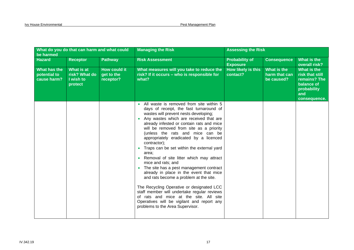| be harmed                                   | What do you do that can harm and what could         |                                                | <b>Managing the Risk</b><br><b>Assessing the Risk</b>                                                                                                                                                                                                                                                                                                                                                                                                                                                                                                                                                                                                                                                                                                                                                                                       |                                          |                                            |                                                                                                    |
|---------------------------------------------|-----------------------------------------------------|------------------------------------------------|---------------------------------------------------------------------------------------------------------------------------------------------------------------------------------------------------------------------------------------------------------------------------------------------------------------------------------------------------------------------------------------------------------------------------------------------------------------------------------------------------------------------------------------------------------------------------------------------------------------------------------------------------------------------------------------------------------------------------------------------------------------------------------------------------------------------------------------------|------------------------------------------|--------------------------------------------|----------------------------------------------------------------------------------------------------|
| <b>Hazard</b>                               | <b>Receptor</b>                                     | <b>Pathway</b>                                 | <b>Risk Assessment</b>                                                                                                                                                                                                                                                                                                                                                                                                                                                                                                                                                                                                                                                                                                                                                                                                                      | <b>Probability of</b><br><b>Exposure</b> | <b>Consequence</b>                         | What is the<br>overall risk?                                                                       |
| What has the<br>potential to<br>cause harm? | What is at<br>risk? What do<br>I wish to<br>protect | <b>How could it</b><br>get to the<br>receptor? | What measures will you take to reduce the<br>risk? If it occurs - who is responsible for<br>what?                                                                                                                                                                                                                                                                                                                                                                                                                                                                                                                                                                                                                                                                                                                                           | How likely is this<br>contact?           | What is the<br>harm that can<br>be caused? | What is the<br>risk that still<br>remains? The<br>balance of<br>probability<br>and<br>consequence. |
|                                             |                                                     |                                                | All waste is removed from site within 5<br>days of receipt, the fast turnaround of<br>wastes will prevent nests developing;<br>Any wastes which are received that are<br>already infested or contain rats and mice<br>will be removed from site as a priority<br>(unless the rats and mice can be<br>appropriately eradicated by a licenced<br>contractor);<br>Traps can be set within the external yard<br>area:<br>Removal of site litter which may attract<br>mice and rats; and<br>The site has a pest management contract<br>already in place in the event that mice<br>and rats become a problem at the site.<br>The Recycling Operative or designated LCC<br>staff member will undertake regular reviews<br>of rats and mice at the site. All site<br>Operatives will be vigilant and report any<br>problems to the Area Supervisor. |                                          |                                            |                                                                                                    |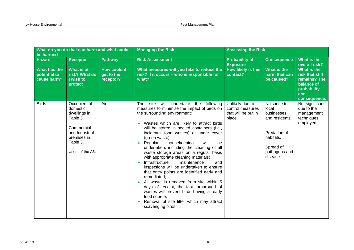| What do you do that can harm and what could<br>be harmed |                                                                                                                                     |                                                | <b>Managing the Risk</b><br><b>Assessing the Risk</b>                                                                                                                                                                                                                                                                                                                                                                                                                                                                                                                                                                                                                                                                                                                                                                                                                         |                                                                      |                                                                                                                             |                                                                                                    |
|----------------------------------------------------------|-------------------------------------------------------------------------------------------------------------------------------------|------------------------------------------------|-------------------------------------------------------------------------------------------------------------------------------------------------------------------------------------------------------------------------------------------------------------------------------------------------------------------------------------------------------------------------------------------------------------------------------------------------------------------------------------------------------------------------------------------------------------------------------------------------------------------------------------------------------------------------------------------------------------------------------------------------------------------------------------------------------------------------------------------------------------------------------|----------------------------------------------------------------------|-----------------------------------------------------------------------------------------------------------------------------|----------------------------------------------------------------------------------------------------|
| <b>Hazard</b>                                            | <b>Receptor</b>                                                                                                                     | <b>Pathway</b>                                 | <b>Risk Assessment</b>                                                                                                                                                                                                                                                                                                                                                                                                                                                                                                                                                                                                                                                                                                                                                                                                                                                        | <b>Probability of</b><br><b>Exposure</b>                             | <b>Consequence</b>                                                                                                          | What is the<br>overall risk?                                                                       |
| What has the<br>potential to<br>cause harm?              | What is at<br>risk? What do<br>I wish to<br>protect                                                                                 | <b>How could it</b><br>get to the<br>receptor? | What measures will you take to reduce the<br>risk? If it occurs - who is responsible for<br>what?                                                                                                                                                                                                                                                                                                                                                                                                                                                                                                                                                                                                                                                                                                                                                                             | How likely is this<br>contact?                                       | What is the<br>harm that can<br>be caused?                                                                                  | What is the<br>risk that still<br>remains? The<br>balance of<br>probability<br>and<br>consequence. |
| <b>Birds</b>                                             | Occupiers of<br>domestic<br>dwellings in<br>Table 3.<br>Commercial<br>and Industrial<br>premises in<br>Table 3.<br>Users of the A6. | Air.                                           | site will undertake the following<br>The<br>measures to minimise the impact of birds on<br>the surrounding environment:<br>Wastes which are likely to attract birds<br>$\bullet$<br>will be stored in sealed containers (i.e.,<br>incidental food wastes) or under cover<br>(green waste);<br>housekeeping<br>Regular<br>will<br>be<br>$\bullet$<br>undertaken, including the cleaning of all<br>waste storage areas on a regular basis<br>with appropriate cleaning materials;<br>Infrastructure<br>maintenance<br>and<br>$\bullet$<br>inspections will be undertaken to ensure<br>that entry points are identified early and<br>remediated;<br>All waste is removed from site within 5<br>days of receipt, the fast turnaround of<br>wastes will prevent birds having a ready<br>food source;<br>Removal of site litter which may attract<br>$\bullet$<br>scavenging birds; | Unlikely due to<br>control measures<br>that will be put in<br>place. | Nuisance to<br>local<br>businesses<br>and residents.<br>Predation of<br>habitats.<br>Spread of<br>pathogens and<br>disease. | Not significant<br>due to the<br>management<br>techniques<br>employed.                             |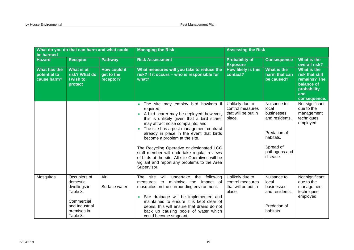| What do you do that can harm and what could<br>be harmed |                                                                                                                 |                                                | <b>Managing the Risk</b><br><b>Assessing the Risk</b>                                                                                                                                                                                                                                                                                                                                                                                                                                                                 |                                                                      |                                                                                                                             |                                                                                                    |
|----------------------------------------------------------|-----------------------------------------------------------------------------------------------------------------|------------------------------------------------|-----------------------------------------------------------------------------------------------------------------------------------------------------------------------------------------------------------------------------------------------------------------------------------------------------------------------------------------------------------------------------------------------------------------------------------------------------------------------------------------------------------------------|----------------------------------------------------------------------|-----------------------------------------------------------------------------------------------------------------------------|----------------------------------------------------------------------------------------------------|
| <b>Hazard</b>                                            | <b>Receptor</b>                                                                                                 | <b>Pathway</b>                                 | <b>Risk Assessment</b>                                                                                                                                                                                                                                                                                                                                                                                                                                                                                                | <b>Probability of</b><br><b>Exposure</b>                             | <b>Consequence</b>                                                                                                          | What is the<br>overall risk?                                                                       |
| What has the<br>potential to<br>cause harm?              | What is at<br>risk? What do<br>I wish to<br>protect                                                             | <b>How could it</b><br>get to the<br>receptor? | What measures will you take to reduce the<br>risk? If it occurs - who is responsible for<br>what?                                                                                                                                                                                                                                                                                                                                                                                                                     | How likely is this<br>contact?                                       | What is the<br>harm that can<br>be caused?                                                                                  | What is the<br>risk that still<br>remains? The<br>balance of<br>probability<br>and<br>consequence. |
|                                                          |                                                                                                                 |                                                | The site may employ bird hawkers if<br>required;<br>A bird scarer may be deployed; however,<br>this is unlikely given that a bird scarer<br>may attract noise complaints; and<br>The site has a pest management contract<br>already in place in the event that birds<br>become a problem at the site.<br>The Recycling Operative or designated LCC<br>staff member will undertake regular reviews<br>of birds at the site. All site Operatives will be<br>vigilant and report any problems to the Area<br>Supervisor. | Unlikely due to<br>control measures<br>that will be put in<br>place. | Nuisance to<br>local<br>businesses<br>and residents.<br>Predation of<br>habitats.<br>Spread of<br>pathogens and<br>disease. | Not significant<br>due to the<br>management<br>techniques<br>employed.                             |
| <b>Mosquitos</b>                                         | Occupiers of<br>domestic<br>dwellings in<br>Table 3.<br>Commercial<br>and Industrial<br>premises in<br>Table 3. | Air.<br>Surface water.                         | undertake<br>following<br>The site<br>will<br>the<br>minimise the impact of<br>measures<br>to<br>mosquitos on the surrounding environment:<br>Site drainage will be implemented and<br>$\bullet$<br>maintained to ensure it is kept clear of<br>debris, this will ensure that drains do not<br>back up causing pools of water which<br>could become stagnant;                                                                                                                                                         | Unlikely due to<br>control measures<br>that will be put in<br>place. | Nuisance to<br>local<br>businesses<br>and residents.<br>Predation of<br>habitats.                                           | Not significant<br>due to the<br>management<br>techniques<br>employed.                             |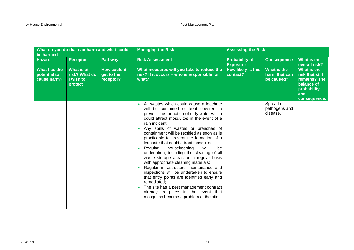| What do you do that can harm and what could<br>be harmed |                                                     |                                         | <b>Managing the Risk</b>                                                                                                                                                                                                                                                                                                                                                                                                                                                                                                                                                                                                                                                                                                                                                                                                                                                | <b>Assessing the Risk</b>                |                                            |                                                                                                    |
|----------------------------------------------------------|-----------------------------------------------------|-----------------------------------------|-------------------------------------------------------------------------------------------------------------------------------------------------------------------------------------------------------------------------------------------------------------------------------------------------------------------------------------------------------------------------------------------------------------------------------------------------------------------------------------------------------------------------------------------------------------------------------------------------------------------------------------------------------------------------------------------------------------------------------------------------------------------------------------------------------------------------------------------------------------------------|------------------------------------------|--------------------------------------------|----------------------------------------------------------------------------------------------------|
| <b>Hazard</b>                                            | <b>Receptor</b>                                     | <b>Pathway</b>                          | <b>Risk Assessment</b>                                                                                                                                                                                                                                                                                                                                                                                                                                                                                                                                                                                                                                                                                                                                                                                                                                                  | <b>Probability of</b><br><b>Exposure</b> | <b>Consequence</b>                         | What is the<br>overall risk?                                                                       |
| What has the<br>potential to<br>cause harm?              | What is at<br>risk? What do<br>I wish to<br>protect | How could it<br>get to the<br>receptor? | What measures will you take to reduce the<br>risk? If it occurs - who is responsible for<br>what?                                                                                                                                                                                                                                                                                                                                                                                                                                                                                                                                                                                                                                                                                                                                                                       | How likely is this<br>contact?           | What is the<br>harm that can<br>be caused? | What is the<br>risk that still<br>remains? The<br>balance of<br>probability<br>and<br>consequence. |
|                                                          |                                                     |                                         | All wastes which could cause a leachate<br>$\bullet$<br>will be contained or kept covered to<br>prevent the formation of dirty water which<br>could attract mosquitos in the event of a<br>rain incident;<br>Any spills of wastes or breaches of<br>$\bullet$<br>containment will be rectified as soon as is<br>practicable to prevent the formation of a<br>leachate that could attract mosquitos;<br>housekeeping<br>Regular<br>will<br>be<br>undertaken, including the cleaning of all<br>waste storage areas on a regular basis<br>with appropriate cleaning materials;<br>Regular infrastructure maintenance and<br>inspections will be undertaken to ensure<br>that entry points are identified early and<br>remediated;<br>The site has a pest management contract<br>$\bullet$<br>already in place in the event that<br>mosquitos become a problem at the site. |                                          | Spread of<br>pathogens and<br>disease.     |                                                                                                    |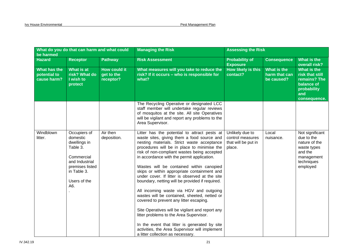| What do you do that can harm and what could<br>be harmed |                                                                                                                                               |                                                | <b>Managing the Risk</b>                                                                                                                                                                                                                                                                                                                                                                                                                                                                                                                                                                                                                                                                                                                                                                                                                                         | <b>Assessing the Risk</b>                                            |                                            |                                                                                                                  |
|----------------------------------------------------------|-----------------------------------------------------------------------------------------------------------------------------------------------|------------------------------------------------|------------------------------------------------------------------------------------------------------------------------------------------------------------------------------------------------------------------------------------------------------------------------------------------------------------------------------------------------------------------------------------------------------------------------------------------------------------------------------------------------------------------------------------------------------------------------------------------------------------------------------------------------------------------------------------------------------------------------------------------------------------------------------------------------------------------------------------------------------------------|----------------------------------------------------------------------|--------------------------------------------|------------------------------------------------------------------------------------------------------------------|
| <b>Hazard</b>                                            | <b>Receptor</b>                                                                                                                               | <b>Pathway</b>                                 | <b>Risk Assessment</b>                                                                                                                                                                                                                                                                                                                                                                                                                                                                                                                                                                                                                                                                                                                                                                                                                                           | <b>Probability of</b><br><b>Exposure</b>                             | <b>Consequence</b>                         | What is the<br>overall risk?                                                                                     |
| What has the<br>potential to<br>cause harm?              | What is at<br>risk? What do<br>I wish to<br>protect                                                                                           | <b>How could it</b><br>get to the<br>receptor? | What measures will you take to reduce the<br>risk? If it occurs - who is responsible for<br>what?                                                                                                                                                                                                                                                                                                                                                                                                                                                                                                                                                                                                                                                                                                                                                                | How likely is this<br>contact?                                       | What is the<br>harm that can<br>be caused? | What is the<br>risk that still<br>remains? The<br>balance of<br>probability<br>and<br>consequence.               |
|                                                          |                                                                                                                                               |                                                | The Recycling Operative or designated LCC<br>staff member will undertake regular reviews<br>of mosquitos at the site. All site Operatives<br>will be vigilant and report any problems to the<br>Area Supervisor.                                                                                                                                                                                                                                                                                                                                                                                                                                                                                                                                                                                                                                                 |                                                                      |                                            |                                                                                                                  |
| Windblown<br>litter.                                     | Occupiers of<br>domestic<br>dwellings in<br>Table 3.<br>Commercial<br>and Industrial<br>premises listed<br>in Table 3.<br>Users of the<br>A6. | Air then<br>deposition.                        | Litter has the potential to attract pests at<br>waste sites, giving them a food source and<br>nesting materials. Strict waste acceptance<br>procedures will be in place to minimise the<br>risk of non-compliant wastes being accepted<br>in accordance with the permit application.<br>Wastes will be contained within canopied<br>skips or within appropriate containment and<br>under cover. If litter is observed at the site<br>boundary, netting will be provided if required.<br>All incoming waste via HGV and outgoing<br>wastes will be contained, sheeted, netted or<br>covered to prevent any litter escaping.<br>Site Operatives will be vigilant and report any<br>litter problems to the Area Supervisor.<br>In the event that litter is generated by site<br>activities, the Area Supervisor will implement<br>a litter collection as necessary. | Unlikely due to<br>control measures<br>that will be put in<br>place. | Local<br>nuisance.                         | Not significant<br>due to the<br>nature of the<br>waste types<br>and the<br>management<br>techniques<br>employed |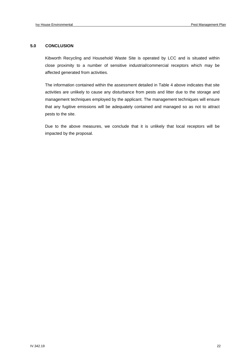#### **5.0 CONCLUSION**

Kibworth Recycling and Household Waste Site is operated by LCC and is situated within close proximity to a number of sensitive industrial/commercial receptors which may be affected generated from activities.

The information contained within the assessment detailed in Table 4 above indicates that site activities are unlikely to cause any disturbance from pests and litter due to the storage and management techniques employed by the applicant. The management techniques will ensure that any fugitive emissions will be adequately contained and managed so as not to attract pests to the site.

Due to the above measures, we conclude that it is unlikely that local receptors will be impacted by the proposal.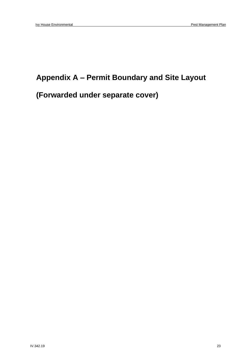# **Appendix A – Permit Boundary and Site Layout**

# **(Forwarded under separate cover)**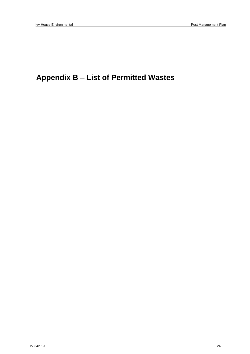# **Appendix B – List of Permitted Wastes**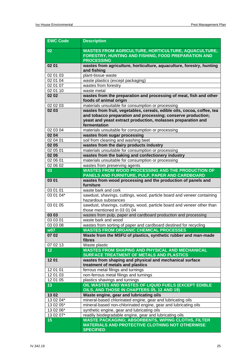| <b>EWC Code</b> | <b>Description</b>                                                                                                                                                                                                      |
|-----------------|-------------------------------------------------------------------------------------------------------------------------------------------------------------------------------------------------------------------------|
| 02              | <b>WASTES FROM AGRICULTURE, HORTICULTURE, AQUACULTURE,</b><br>FORESTRY, HUNTING AND FISHING, FOOD PREPARATION AND<br><b>PROCESSING</b>                                                                                  |
| 02 01           | wastes from agriculture, horticulture, aquaculture, forestry, hunting<br>and fishing                                                                                                                                    |
| 02 01 03        | plant-tissue waste                                                                                                                                                                                                      |
| 02 01 04        | waste plastics (except packaging)                                                                                                                                                                                       |
| 02 01 07        | wastes from forestry                                                                                                                                                                                                    |
| 02 01 10        | waste metal                                                                                                                                                                                                             |
| 02 02           | wastes from the preparation and processing of meat, fish and other<br>foods of animal origin                                                                                                                            |
| 02 02 03        | materials unsuitable for consumption or processing                                                                                                                                                                      |
| 02 03           | wastes from fruit, vegetables, cereals, edible oils, cocoa, coffee, tea<br>and tobacco preparation and processing; conserve production;<br>yeast and yeast extract production, molasses preparation and<br>fermentation |
| 02 03 04        | materials unsuitable for consumption or processing                                                                                                                                                                      |
| 02 04           | wastes from sugar processing                                                                                                                                                                                            |
| 02 04 01        | soil from cleaning and washing beet                                                                                                                                                                                     |
| 02 05           | wastes from the dairy products industry                                                                                                                                                                                 |
| 02 05 01        | materials unsuitable for consumption or processing                                                                                                                                                                      |
| 02 06           | wastes from the baking and confectionery industry                                                                                                                                                                       |
| 02 06 01        | materials unsuitable for consumption or processing                                                                                                                                                                      |
| 02 06 02        | wastes from preserving agents                                                                                                                                                                                           |
| 03              | <b>WASTES FROM WOOD PROCESSING AND THE PRODUCTION OF</b><br>PANELS AND FURNITURE, PULP, PAPER AND CARDBOARD                                                                                                             |
| 03 01           | wastes from wood processing and the production of panels and<br>furniture                                                                                                                                               |
| 03 01 01        | waste bark and cork                                                                                                                                                                                                     |
| 03 01 04*       | sawdust, shavings, cuttings, wood, particle board and veneer containing<br>hazardous substances                                                                                                                         |
| 03 01 05        | sawdust, shavings, cuttings, wood, particle board and veneer other than<br>those mentioned in 03 01 04                                                                                                                  |
| 03 03           | wastes from pulp, paper and cardboard production and processing                                                                                                                                                         |
| 03 03 01        | waste bark and wood                                                                                                                                                                                                     |
| 03 03 08        | wastes from sorting of paper and cardboard destined for recycling                                                                                                                                                       |
| w07             | <b>WASTES FROM ORGANIC CHEMICAL PROCESSES</b>                                                                                                                                                                           |
| 07 02           | Waste from the MSFU of plastics, synthetic rubber and man-made<br>fibres                                                                                                                                                |
| 07 02 13        | Waste plastic                                                                                                                                                                                                           |
| 12              | <b>WASTES FROM SHAPING AND PHYSICAL AND MECHANICAL</b><br>SURFACE TREATMENT OF METALS AND PLASTICS                                                                                                                      |
| 1201            | wastes from shaping and physical and mechanical surface<br>treatment of metals and plastics                                                                                                                             |
| 12 01 01        | ferrous metal filings and turnings                                                                                                                                                                                      |
| 12 01 03        | non-ferrous metal filings and turnings                                                                                                                                                                                  |
| 12 01 05        | plastics shavings and turnings                                                                                                                                                                                          |
| 13              | OIL WASTES AND WASTES OF LIQUID FUELS (EXCEPT EDIBLE<br>OILS, AND THOSE IN CHAPTERS 05, 12 AND 19)                                                                                                                      |
| 1302            | Waste engine, gear and lubricating oils                                                                                                                                                                                 |
| $130204*$       | mineral-based chlorinated engine, gear and lubricating oils                                                                                                                                                             |
| $130205*$       | mineral-based non-chlorinated engine, gear and lubricating oils                                                                                                                                                         |
| 13 02 06*       | synthetic engine, gear and lubricating oils                                                                                                                                                                             |
| 13 02 07*       | readily biodegradable engine, gear and lubricating oils                                                                                                                                                                 |
| 15              | <b>WASTE PACKAGING; ABSORBENTS, WIPING CLOTHS, FILTER</b><br><b>MATERIALS AND PROTECTIVE CLOTHING NOT OTHERWISE</b><br><b>SPECIFIED</b>                                                                                 |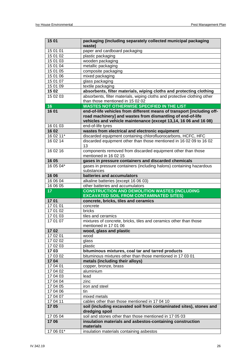| 15 01                | packaging (including separately collected municipal packaging<br>waste)                                       |
|----------------------|---------------------------------------------------------------------------------------------------------------|
| 15 01 01             | paper and cardboard packaging                                                                                 |
| 15 01 02             | plastic packaging                                                                                             |
| 15 01 03             | wooden packaging                                                                                              |
| 15 01 04             | metallic packaging                                                                                            |
| 15 01 05             | composite packaging                                                                                           |
| 15 01 06             | mixed packaging                                                                                               |
| 15 01 07             | glass packaging                                                                                               |
| 15 01 09             | textile packaging                                                                                             |
| 15 02                | absorbents, filter materials, wiping cloths and protecting clothing                                           |
| 15 02 03             | absorbents, filter materials, wiping cloths and protective clothing other<br>than those mentioned in 15 02 02 |
| 16                   | <b>WASTES NOT OTHERWISE SPECIFIED IN THE LIST</b>                                                             |
| 16 01                | end-of-life vehicles from different means of transport [including off-                                        |
|                      | road machinery] and wastes from dismantling of end-of-life                                                    |
|                      | vehicles and vehicle maintenance (except 13,14, 16 06 and 16 08)                                              |
| 16 01 03             | end-of-life tyres                                                                                             |
| 1602                 | wastes from electrical and electronic equipment                                                               |
| 16 02 11*            | discarded equipment containing chlorofluorocarbons, HCFC, HFC                                                 |
| 16 02 14             | discarded equipment other than those mentioned in 16 02 09 to 16 02<br>13                                     |
| 16 02 16             | components removed from discarded equipment other than those<br>mentioned in 16 02 15                         |
| 16 05                | gases in pressure containers and discarded chemicals                                                          |
| 16 05 04*            | gases in pressure containers (including halons) containing hazardous                                          |
|                      | substances                                                                                                    |
| 16 06                | batteries and accumulators                                                                                    |
| 16 06 04             | alkaline batteries (except 16 06 03)                                                                          |
| 16 06 05             | other batteries and accumulators                                                                              |
| 17 <sub>2</sub>      | <b>CONSTRUCTION AND DEMOLITION WASTES (INCLUDING</b><br><b>EXCAVATED SOIL FROM CONTAMINATED SITES)</b>        |
| 1701                 | concrete, bricks, tiles and ceramics                                                                          |
| 17 01 01             | concrete                                                                                                      |
| 17 01 02             | <b>bricks</b>                                                                                                 |
| 17 01 03<br>17 01 07 | tiles and ceramics                                                                                            |
|                      | mixtures of concrete, bricks, tiles and ceramics other than those<br>mentioned in 17 01 06                    |
| 1702                 | wood, glass and plastic                                                                                       |
| 17 02 01             | wood                                                                                                          |
| 17 02 02             | glass                                                                                                         |
| 17 02 03             | plastic                                                                                                       |
| 1703                 | bituminous mixtures, coal tar and tarred products                                                             |
| 17 03 02             | bituminous mixtures other than those mentioned in 17 03 01                                                    |
| 1704                 | metals (including their alloys)                                                                               |
| 17 04 01             | copper, bronze, brass                                                                                         |
| 17 04 02             | aluminium                                                                                                     |
| 17 04 03             | lead                                                                                                          |
| 17 04 04             | zinc                                                                                                          |
| 17 04 05             | iron and steel                                                                                                |
| 17 04 06             | tin                                                                                                           |
| 17 04 07             | mixed metals                                                                                                  |
| 17 04 11             | cables other than those mentioned in 17 04 10                                                                 |
| 1705                 | soil (including excavated soil from contaminated sites), stones and<br>dredging spoil                         |
| 17 05 04             | soil and stones other than those mentioned in 17 05 03                                                        |
| 1706                 | insulation materials and asbestos-containing construction<br>materials                                        |
| 17 06 01*            | insulation materials containing asbestos                                                                      |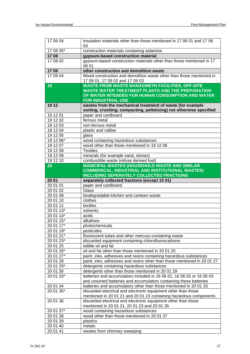| 170604    | insulation materials other than those mentioned in 17 06 01 and 17 06<br>03                                    |
|-----------|----------------------------------------------------------------------------------------------------------------|
| 17 06 05* | construction materials containing asbestos                                                                     |
| 1708      | gypsum-based construction material                                                                             |
| 17 08 02  | gypsum-based construction materials other than those mentioned in 17                                           |
|           | 08 01                                                                                                          |
| 1709      | other construction and demolition waste                                                                        |
| 17 09 04  | Mixed construction and demolition waste other than those mentioned in<br>17 09 01, 17 09 02 and 17 09 03       |
| 19        | <b>WASTE FROM WASTE MANAGMETN FACILITIES, OFF-SITE</b>                                                         |
|           | <b>WASTE WATER TREATMENT PLANTS AND THE PREPARATION</b>                                                        |
|           | OF WATER INTENDED FOR HUMAN CONSUMPTION AND WATER                                                              |
|           | FOR INDUSTRIAL USE                                                                                             |
| 19 12     | wastes from the mechanical treatment of waste (for example                                                     |
|           | sorting, crushing, compacting, pelletising) not otherwise specified                                            |
| 19 12 01  | paper and cardboard                                                                                            |
| 19 12 02  | ferrous metal                                                                                                  |
| 19 12 03  | non-ferrous metal                                                                                              |
| 19 12 04  | plastic and rubber                                                                                             |
| 19 12 05  | glass                                                                                                          |
| 19 12 06* | wood containing hazardous substances                                                                           |
| 19 12 07  | wood other than those mentioned in 19 12 06                                                                    |
| 19 12 08  | Textiles                                                                                                       |
| 19 12 09  | minerals (for example sand, stones)                                                                            |
| 19 12 10  | combustible waste (refuse derived fuel)                                                                        |
| 20        | <b>MANICIPAL WASTES (HOUSEHOLD WASTE AND SIMILAR</b>                                                           |
|           | <b>COMMERICAL, INDUSTRIAL AND INSTITUTIONAL WASTES)</b>                                                        |
|           | <b>INCLUDING SEPERATELY COLLECTED FRACTIONS</b>                                                                |
| 20 01     | separately collected fractions (except 15 01)                                                                  |
| 20 01 01  | paper and cardboard                                                                                            |
| 20 01 02  | Glass                                                                                                          |
| 20 01 08  | biodegradable kitchen and canteen waste                                                                        |
| 20 01 10  | clothes                                                                                                        |
| 20 01 11  | textiles                                                                                                       |
| 20 01 13* | solvents                                                                                                       |
| $200114*$ | acids                                                                                                          |
|           |                                                                                                                |
| 20 01 15* | alkalines                                                                                                      |
| 20 01 17* | photochemicals                                                                                                 |
| 20 01 19* | pesticides                                                                                                     |
| 20 01 21* | fluorescent tubes and other mercury-containing waste                                                           |
| 20 01 23* | discarded equipment containing chlorofluorocarbons                                                             |
| 20 01 25  | edible oil and fat                                                                                             |
| 20 01 26* | oil and fat other than those mentioned in 20 01 25                                                             |
| 20 01 27* | paint, inks, adhesives and resins containing hazardous substances                                              |
| 20 01 28  | paint, inks, adhesives and resins other than those mentioned in 20 01 27                                       |
| 20 01 29* | detergents containing hazardous substances                                                                     |
| 20 01 30  | detergents other than those mentioned in 20 01 29                                                              |
| 20 01 33* | batteries and accumulators included in 16 06 01, 16 06 02 or 16 06 03                                          |
|           | and unsorted batteries and accumulators containing these batteries                                             |
| 20 01 34  | batteries and accumulators other than those mentioned in 20 01 33                                              |
| 20 01 35* | discarded electrical and electronic equipment other than those                                                 |
|           | mentioned in 20 01 21 and 20 01 23 containing hazardous components                                             |
| 200136    | discarded electrical and electronic equipment other than those<br>mentioned in 20 01 21, 20 01 23 and 20 01 35 |
| 20 01 37* | wood containing hazardous substances                                                                           |
| 20 01 38  | wood other than those mentioned in 20 01 37                                                                    |
| 20 01 39  | plastics                                                                                                       |
| 20 01 40  | metals                                                                                                         |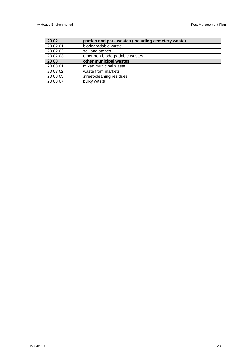| 20 02    | garden and park wastes (including cemetery waste) |
|----------|---------------------------------------------------|
| 20 02 01 | biodegradable waste                               |
| 20 02 02 | soil and stones                                   |
| 20 02 03 | other non-biodegradable wastes                    |
| 20 03    | other municipal wastes                            |
| 20 03 01 | mixed municipal waste                             |
| 20 03 02 | waste from markets                                |
| 20 03 03 | street-cleaning residues                          |
| 20 03 07 | bulky waste                                       |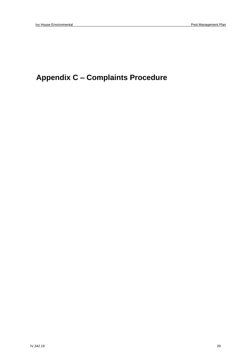# **Appendix C – Complaints Procedure**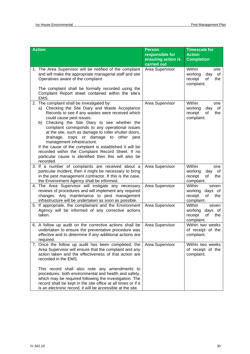| <b>Action</b>                                                                                                                                                                                                                                                                                                                                                                                                                                                                                                                                                                                               | <b>Person</b><br>responsible for  | <b>Timescale for</b><br><b>Action</b>                                       |
|-------------------------------------------------------------------------------------------------------------------------------------------------------------------------------------------------------------------------------------------------------------------------------------------------------------------------------------------------------------------------------------------------------------------------------------------------------------------------------------------------------------------------------------------------------------------------------------------------------------|-----------------------------------|-----------------------------------------------------------------------------|
|                                                                                                                                                                                                                                                                                                                                                                                                                                                                                                                                                                                                             | ensuring action is<br>carried out | <b>Completion</b>                                                           |
| 1. The Area Supervisor will be notified of the complaint<br>and will make the appropriate managerial staff and site<br>Operatives aware of the complaint.<br>The complaint shall be formally recorded using the<br>Complaint Report sheet contained within the site's<br>EMS.                                                                                                                                                                                                                                                                                                                               | Area Supervisor                   | Within<br>one<br>working<br>day<br>of<br>receipt<br>of<br>the<br>complaint. |
| 2. The complaint shall be investigated by:<br>a) Checking the Site Diary and Waste Acceptance<br>Records to see if any wastes were received which<br>could cause pest issues.<br>Checking the Site Diary to see whether the<br>b)<br>complaint corresponds to any operational issues<br>at the site, such as damage to roller shutter doors,<br>drainage, traps or damage to other pest<br>management infrastructure.<br>If the cause of the complaint is established it will be<br>recorded within the Complaint Record Sheet. If no<br>particular cause is identified then this will also be<br>recorded. | Area Supervisor                   | Within<br>one<br>working<br>day<br>of<br>receipt<br>οf<br>the<br>complaint. |
| 3. If a number of complaints are received about a<br>particular incident, then it might be necessary to bring<br>in the pest management contractor. If this is the case,<br>the Environment Agency shall be informed.                                                                                                                                                                                                                                                                                                                                                                                       | Area Supervisor                   | Within<br>one<br>working<br>day<br>0f<br>receipt<br>the<br>of<br>complaint. |
| 4. The Area Supervisor will instigate any necessary<br>reviews of procedures and will implement any required<br>changes. Any maintenance to pest management<br>infrastructure will be undertaken as soon as possible.                                                                                                                                                                                                                                                                                                                                                                                       | Area Supervisor                   | Within<br>seven<br>working<br>days of<br>receipt<br>the<br>of<br>complaint. |
| 5. If appropriate, the complainant and the Environment<br>Agency will be informed of any corrective actions<br>taken.                                                                                                                                                                                                                                                                                                                                                                                                                                                                                       | Area Supervisor                   | Within<br>seven<br>working<br>days of<br>receipt<br>of<br>the<br>complaint. |
| 6. A follow up audit on the corrective actions shall be<br>undertaken to ensure the preventative procedure was<br>effective and to determine if any additional actions are<br>required.                                                                                                                                                                                                                                                                                                                                                                                                                     | Area Supervisor                   | Within two weeks<br>of receipt of the<br>compliant.                         |
| 7. Once the follow up audit has been completed, the<br>Area Supervisor will ensure that the complaint and any<br>action taken and the effectiveness of that action are<br>recorded in the EMS.                                                                                                                                                                                                                                                                                                                                                                                                              | Area Supervisor                   | Within two weeks<br>of receipt of the<br>complaint.                         |
| This record shall also note any amendments to<br>procedures, both environmental and health and safety,<br>which may be required following the investigation. The<br>record shall be kept in the site office at all times or if it<br>is an electronic record, it will be accessible at the site.                                                                                                                                                                                                                                                                                                            |                                   |                                                                             |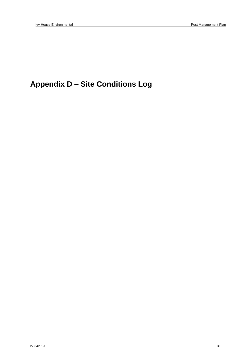# **Appendix D – Site Conditions Log**